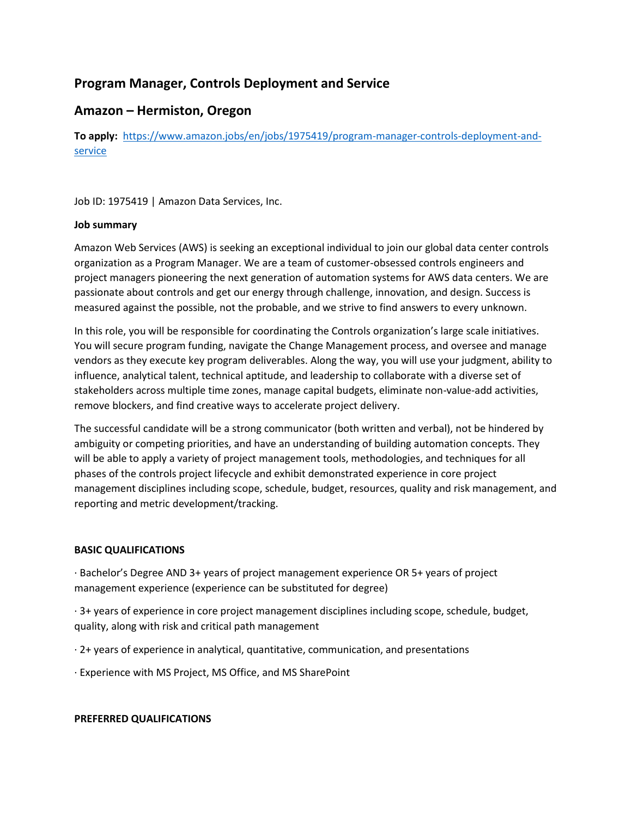# **Program Manager, Controls Deployment and Service**

## **Amazon – Hermiston, Oregon**

**To apply:** [https://www.amazon.jobs/en/jobs/1975419/program-manager-controls-deployment-and](https://www.amazon.jobs/en/jobs/1975419/program-manager-controls-deployment-and-service)[service](https://www.amazon.jobs/en/jobs/1975419/program-manager-controls-deployment-and-service)

Job ID: 1975419 | Amazon Data Services, Inc.

### **Job summary**

Amazon Web Services (AWS) is seeking an exceptional individual to join our global data center controls organization as a Program Manager. We are a team of customer-obsessed controls engineers and project managers pioneering the next generation of automation systems for AWS data centers. We are passionate about controls and get our energy through challenge, innovation, and design. Success is measured against the possible, not the probable, and we strive to find answers to every unknown.

In this role, you will be responsible for coordinating the Controls organization's large scale initiatives. You will secure program funding, navigate the Change Management process, and oversee and manage vendors as they execute key program deliverables. Along the way, you will use your judgment, ability to influence, analytical talent, technical aptitude, and leadership to collaborate with a diverse set of stakeholders across multiple time zones, manage capital budgets, eliminate non-value-add activities, remove blockers, and find creative ways to accelerate project delivery.

The successful candidate will be a strong communicator (both written and verbal), not be hindered by ambiguity or competing priorities, and have an understanding of building automation concepts. They will be able to apply a variety of project management tools, methodologies, and techniques for all phases of the controls project lifecycle and exhibit demonstrated experience in core project management disciplines including scope, schedule, budget, resources, quality and risk management, and reporting and metric development/tracking.

### **BASIC QUALIFICATIONS**

· Bachelor's Degree AND 3+ years of project management experience OR 5+ years of project management experience (experience can be substituted for degree)

· 3+ years of experience in core project management disciplines including scope, schedule, budget, quality, along with risk and critical path management

- · 2+ years of experience in analytical, quantitative, communication, and presentations
- · Experience with MS Project, MS Office, and MS SharePoint

#### **PREFERRED QUALIFICATIONS**